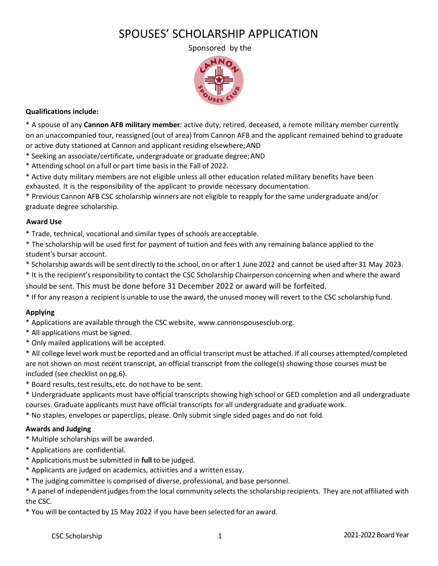# SPOUSES' SCHOLARSHIP APPLICATION

Sponsored by the



### **Qualifications include:**

\* A spouse of any **Cannon AFB military member**: active duty, retired, deceased, a remote military member currently on an unaccompanied tour, reassigned (out of area) from Cannon AFB and the applicant remained behind to graduate or active duty stationed at Cannon and applicant residing elsewhere;AND

- \* Seeking an associate/certificate, undergraduate or graduate degree;AND
- \* Attending school on a full or part time basisin the Fall of 2022.
- \* Active duty military members are not eligible unless all other education related military benefits have been exhausted. It is the responsibility of the applicant to provide necessary documentation.

\* Previous Cannon AFB CSC scholarship winners are not eligible to reapply for the same undergraduate and/or graduate degree scholarship.

#### **Award Use**

\* Trade, technical, vocational and similar types of schools areacceptable.

- \* The scholarship will be used first for payment of tuition and fees with any remaining balance applied to the student's bursar account.
- \* Scholarship awards will be sent directly to the school, on or after 1 June 2022 and cannot be used after 31 May 2023.

\* It isthe recipient'sresponsibility to contact the CSC Scholarship Chairperson concerning when and where the award should be sent. This must be done before 31 December 2022 or award will be forfeited.

\* If for any reason a recipientis unable to use the award, the unused money will revert to the CSC scholarship fund.

### **Applying**

- \* Applications are available through the CSC website, [www.cannonspousesclub.org.](http://www.cannonspousesclub.org/)
- \* All applications must be signed.
- \* Only mailed applications will be accepted.
- \* All college level work must be reported and an official transcript must be attached. If all courses attempted/completed are not shown on most recent transcript, an official transcript from the college(s) showing those courses must be included (see checklist on pg.6).
- \* Board results,testresults, etc. do not have to be sent.
- \* Undergraduate applicants must have official transcripts showing high school or GED completion and all undergraduate courses. Graduate applicants must have official transcripts for all undergraduate and graduate work.
- \* No staples, envelopes or paperclips, please. Only submit single sided pages and do not fold.

### **Awards and Judging**

- \* Multiple scholarships will be awarded.
- \* Applications are confidential.
- \* Applications must be submitted in **full** to be judged.
- \* Applicants are judged on academics, activities and a written essay.
- \* The judging committee is comprised of diverse, professional, and base personnel.

\* A panel of independentjudgesfrom the local community selectsthe scholarship recipients. They are not affiliated with the CSC.

\* You will be contacted by 15 May 2022 if you have been selected for an award.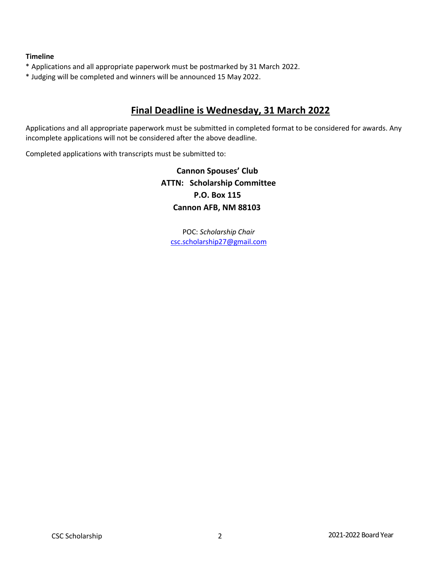### **Timeline**

- \* Applications and all appropriate paperwork must be postmarked by 31 March 2022.
- \* Judging will be completed and winners will be announced 15 May 2022.

# **Final Deadline is Wednesday, 31 March 2022**

Applications and all appropriate paperwork must be submitted in completed format to be considered for awards. Any incomplete applications will not be considered after the above deadline.

Completed applications with transcripts must be submitted to:

**Cannon Spouses' Club ATTN: Scholarship Committee P.O. Box 115 Cannon AFB, NM 88103**

POC: *Scholarship Chair* [csc.scholarship27@gmail.com](mailto:csc.scholarship27@gmail.com)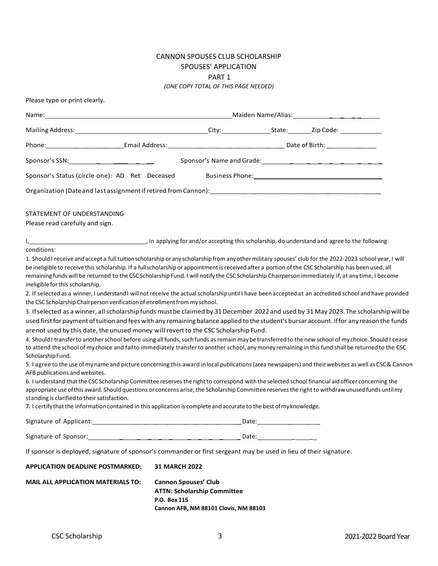# CANNON SPOUSES CLUB SCHOLARSHIP SPOUSES' APPLICATION PART 1

*(ONE COPY TOTAL OF THIS PAGE NEEDED)*

| Please type or print clearly.                                                                                                                                                                                                                                                                                                                                                                                                                                                                              |                                                                                                                            |  |                                                                                                                                                                                                                                |
|------------------------------------------------------------------------------------------------------------------------------------------------------------------------------------------------------------------------------------------------------------------------------------------------------------------------------------------------------------------------------------------------------------------------------------------------------------------------------------------------------------|----------------------------------------------------------------------------------------------------------------------------|--|--------------------------------------------------------------------------------------------------------------------------------------------------------------------------------------------------------------------------------|
|                                                                                                                                                                                                                                                                                                                                                                                                                                                                                                            |                                                                                                                            |  |                                                                                                                                                                                                                                |
|                                                                                                                                                                                                                                                                                                                                                                                                                                                                                                            |                                                                                                                            |  |                                                                                                                                                                                                                                |
|                                                                                                                                                                                                                                                                                                                                                                                                                                                                                                            |                                                                                                                            |  |                                                                                                                                                                                                                                |
|                                                                                                                                                                                                                                                                                                                                                                                                                                                                                                            |                                                                                                                            |  |                                                                                                                                                                                                                                |
| Sponsor's Status (circle one): AD Ret Deceased                                                                                                                                                                                                                                                                                                                                                                                                                                                             |                                                                                                                            |  | Business Phone: Note and the set of the set of the set of the set of the set of the set of the set of the set of the set of the set of the set of the set of the set of the set of the set of the set of the set of the set of |
|                                                                                                                                                                                                                                                                                                                                                                                                                                                                                                            |                                                                                                                            |  |                                                                                                                                                                                                                                |
| STATEMENT OF UNDERSTANDING<br>Please read carefully and sign.                                                                                                                                                                                                                                                                                                                                                                                                                                              |                                                                                                                            |  |                                                                                                                                                                                                                                |
| I, 1. 1. 2010 The set of the following to a support of the set of the scholarship, do understand and agree to the following<br>conditions:                                                                                                                                                                                                                                                                                                                                                                 |                                                                                                                            |  |                                                                                                                                                                                                                                |
| 1. Should I receive and accept a full tuition scholarship or any scholarship from any other military spouses' club for the 2022-2023 school year, I will<br>be ineligible to receive this scholarship. If a full scholarship or appointment is received after a portion of the CSC Scholarship has been used, all<br>remaining funds will be returned to the CSC Scholarship Fund. I will notify the CSC Scholarship Chairperson immediately if, at any time, I become<br>ineligible for this scholarship. |                                                                                                                            |  |                                                                                                                                                                                                                                |
| 2. If selected as a winner, I understand I will not receive the actual scholarship until I have been accepted at an accredited school and have provided<br>the CSC Scholarship Chairperson verification of enrollment from my school.                                                                                                                                                                                                                                                                      |                                                                                                                            |  |                                                                                                                                                                                                                                |
| 3. If selected as a winner, all scholarship funds must be claimed by 31 December 2022 and used by 31 May 2023. The scholarship will be                                                                                                                                                                                                                                                                                                                                                                     |                                                                                                                            |  |                                                                                                                                                                                                                                |
| used first for payment of tuition and fees with any remaining balance applied to the student's bursar account. If for any reason the funds                                                                                                                                                                                                                                                                                                                                                                 |                                                                                                                            |  |                                                                                                                                                                                                                                |
| are not used by this date, the unused money will revert to the CSC Scholarship Fund.                                                                                                                                                                                                                                                                                                                                                                                                                       |                                                                                                                            |  |                                                                                                                                                                                                                                |
| 4. Should I transfer to another school before using all funds, such funds as remain may be transferred to the new school of my choice. Should I cease<br>to attend the school of my choice and failto immediately transfer to another school, any money remaining in this fund shall be returned to the CSC<br>Scholarship Fund.                                                                                                                                                                           |                                                                                                                            |  |                                                                                                                                                                                                                                |
| 5. I agree to the use of my name and picture concerning this award in local publications (area newspapers) and their websites as well as CSC & Cannon<br>AFB publications and websites.                                                                                                                                                                                                                                                                                                                    |                                                                                                                            |  |                                                                                                                                                                                                                                |
| 6. I understand that the CSC Scholarship Committee reserves the right to correspond with the selected school financial aid officer concerning the<br>appropriate use of this award. Should questions or concerns arise, the Scholarship Committee reserves the right to withdraw unused funds until my<br>standing is clarified to their satisfaction.<br>7. I certify that the information contained in this application is complete and accurate to the best of my knowledge.                            |                                                                                                                            |  |                                                                                                                                                                                                                                |
|                                                                                                                                                                                                                                                                                                                                                                                                                                                                                                            |                                                                                                                            |  |                                                                                                                                                                                                                                |
|                                                                                                                                                                                                                                                                                                                                                                                                                                                                                                            |                                                                                                                            |  |                                                                                                                                                                                                                                |
| If sponsor is deployed, signature of sponsor's commander or first sergeant may be used in lieu of their signature.                                                                                                                                                                                                                                                                                                                                                                                         |                                                                                                                            |  |                                                                                                                                                                                                                                |
| <b>APPLICATION DEADLINE POSTMARKED:</b>                                                                                                                                                                                                                                                                                                                                                                                                                                                                    | <b>31 MARCH 2022</b>                                                                                                       |  |                                                                                                                                                                                                                                |
| <b>MAIL ALL APPLICATION MATERIALS TO:</b>                                                                                                                                                                                                                                                                                                                                                                                                                                                                  | <b>Cannon Spouses' Club</b><br><b>ATTN: Scholarship Committee</b><br>P.O. Box 115<br>Cannon AFB, NM 88101 Clovis, NM 88103 |  |                                                                                                                                                                                                                                |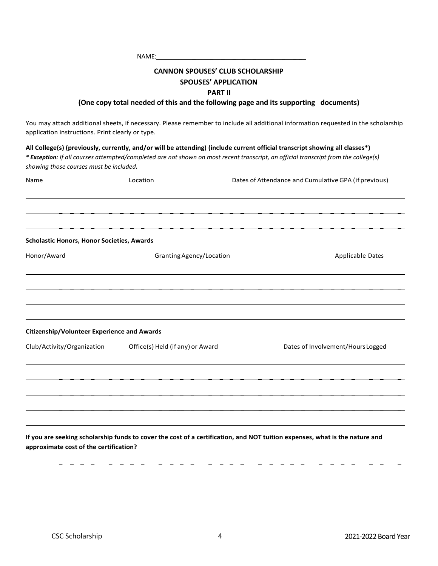| <b>NAME</b><br><b>NVIE:</b> |
|-----------------------------|
|                             |

# **CANNON SPOUSES' CLUB SCHOLARSHIP SPOUSES' APPLICATION PART II**

### **(One copy total needed of this and the following page and its supporting documents)**

You may attach additional sheets, if necessary. Please remember to include all additional information requested in the scholarship application instructions. Print clearly or type.

**All College(s) (previously, currently, and/or will be attending) (include current official transcript showing all classes\*)** *\* Exception: If all courses attempted/completed are not shown on most recent transcript, an official transcript from the college(s) showing those courses must be included.*

| Name                                               | Location                         | Dates of Attendance and Cumulative GPA (if previous) |  |
|----------------------------------------------------|----------------------------------|------------------------------------------------------|--|
|                                                    |                                  |                                                      |  |
| Scholastic Honors, Honor Societies, Awards         |                                  |                                                      |  |
| Honor/Award                                        | Granting Agency/Location         | Applicable Dates                                     |  |
|                                                    |                                  |                                                      |  |
|                                                    |                                  |                                                      |  |
|                                                    |                                  |                                                      |  |
| <b>Citizenship/Volunteer Experience and Awards</b> |                                  |                                                      |  |
| Club/Activity/Organization                         | Office(s) Held (if any) or Award | Dates of Involvement/Hours Logged                    |  |
|                                                    |                                  |                                                      |  |
|                                                    |                                  |                                                      |  |
|                                                    |                                  |                                                      |  |
|                                                    |                                  |                                                      |  |

**If you are seeking scholarship funds to cover the cost of a certification, and NOT tuition expenses, what is the nature and approximate cost of the certification?**

 $\mathcal{L} = \{ \mathcal{L} = \mathcal{L} \mid \mathcal{L} = \mathcal{L} \}$  , where  $\mathcal{L} = \{ \mathcal{L} = \mathcal{L} \}$  , we can assume that  $\mathcal{L} = \{ \mathcal{L} = \mathcal{L} \}$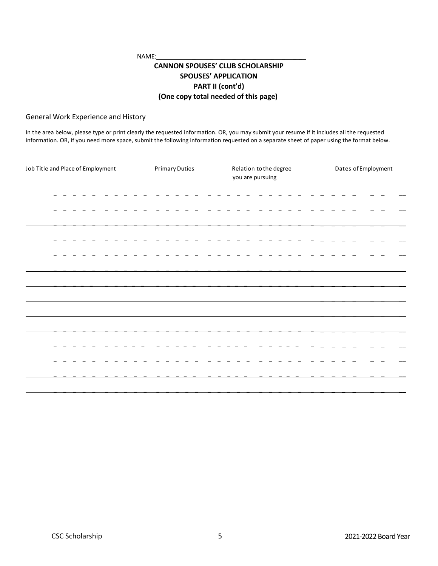NAME:

# **CANNON SPOUSES' CLUB SCHOLARSHIP SPOUSES' APPLICATION PART II (cont'd) (One copy total needed of this page)**

#### General Work Experience and History

In the area below, please type or print clearly the requested information. OR, you may submit your resume if it includes all the requested information. OR, if you need more space, submit the following information requested on a separate sheet of paper using the format below.

| Job Title and Place of Employment | <b>Primary Duties</b> | Relation to the degree<br>you are pursuing | Dates of Employment |
|-----------------------------------|-----------------------|--------------------------------------------|---------------------|
|                                   |                       |                                            |                     |
|                                   |                       |                                            |                     |
|                                   |                       |                                            |                     |
|                                   |                       |                                            |                     |
|                                   |                       |                                            |                     |
|                                   |                       |                                            |                     |
|                                   |                       |                                            |                     |
|                                   |                       |                                            |                     |
|                                   |                       |                                            |                     |
|                                   |                       |                                            |                     |
|                                   |                       |                                            |                     |
|                                   |                       |                                            |                     |
|                                   |                       |                                            |                     |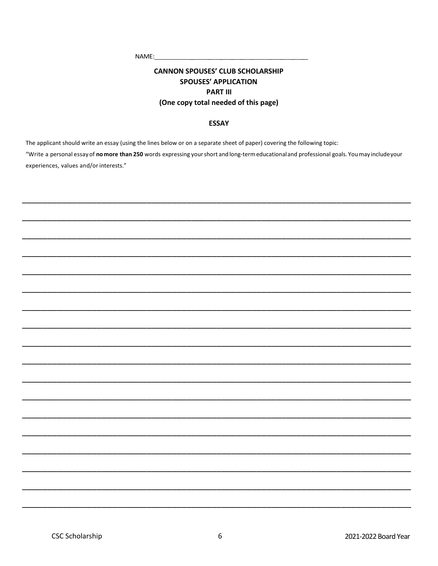NAME:

# **CANNON SPOUSES' CLUB SCHOLARSHIP SPOUSES' APPLICATION PART III** (One copy total needed of this page)

#### **ESSAY**

The applicant should write an essay (using the lines below or on a separate sheet of paper) covering the following topic: "Write a personal essay of nomore than 250 words expressing your short and long-term educational and professional goals. You may include your experiences, values and/or interests."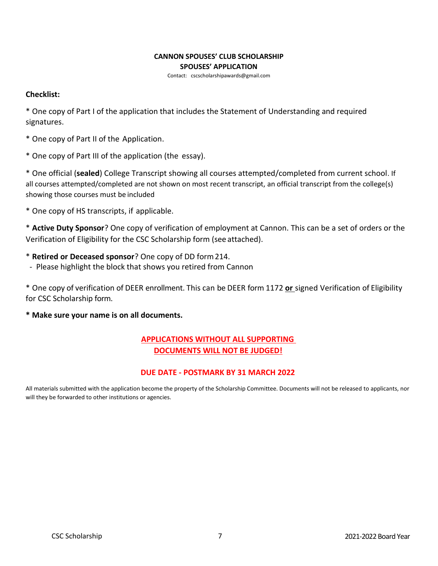### **CANNON SPOUSES' CLUB SCHOLARSHIP SPOUSES' APPLICATION**

Contact: [cscscholarshipawards@gmail.com](mailto:cscscholarshipawards@gmail.com)

# **Checklist:**

\* One copy of Part I of the application that includes the Statement of Understanding and required signatures.

- \* One copy of Part II of the Application.
- \* One copy of Part III of the application (the essay).

\* One official (**sealed**) College Transcript showing all courses attempted/completed from current school. If all courses attempted/completed are not shown on most recent transcript, an official transcript from the college(s) showing those courses must be included

\* One copy of HS transcripts, if applicable.

\* **Active Duty Sponsor**? One copy of verification of employment at Cannon. This can be a set of orders or the Verification of Eligibility for the CSC Scholarship form (see attached).

- \* **Retired or Deceased sponsor**? One copy of DD form214.
- Please highlight the block that shows you retired from Cannon

\* One copy of verification of DEER enrollment. This can be DEER form 1172 **or** signed Verification of Eligibility for CSC Scholarship form.

**\* Make sure your name is on all documents.**

# **APPLICATIONS WITHOUT ALL SUPPORTING DOCUMENTS WILL NOT BE JUDGED!**

# **DUE DATE - POSTMARK BY 31 MARCH 2022**

All materials submitted with the application become the property of the Scholarship Committee. Documents will not be released to applicants, nor will they be forwarded to other institutions or agencies.